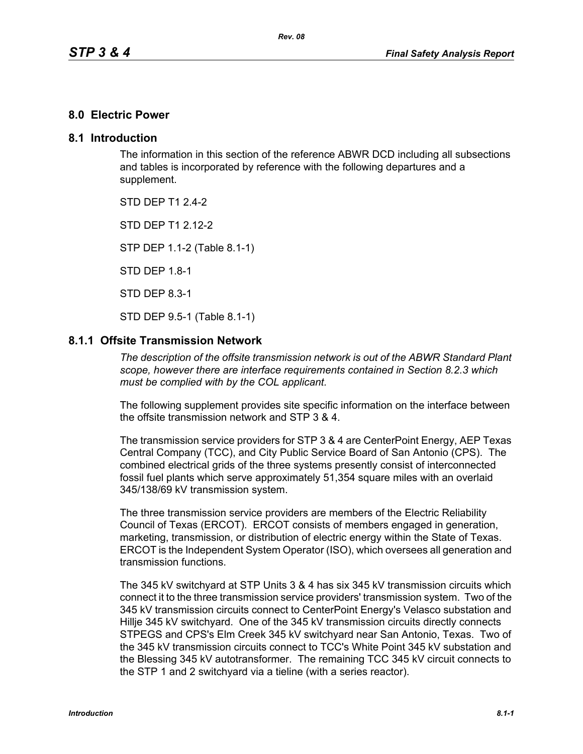#### **8.0 Electric Power**

#### **8.1 Introduction**

The information in this section of the reference ABWR DCD including all subsections and tables is incorporated by reference with the following departures and a supplement.

STD DFP T1 2 4-2

STD DFP T1 2 12-2

STP DEP 1.1-2 (Table 8.1-1)

STD DEP 1.8-1

STD DEP 8.3-1

STD DEP 9.5-1 (Table 8.1-1)

#### **8.1.1 Offsite Transmission Network**

*The description of the offsite transmission network is out of the ABWR Standard Plant scope, however there are interface requirements contained in Section 8.2.3 which must be complied with by the COL applicant.* 

The following supplement provides site specific information on the interface between the offsite transmission network and STP 3 & 4.

The transmission service providers for STP 3 & 4 are CenterPoint Energy, AEP Texas Central Company (TCC), and City Public Service Board of San Antonio (CPS). The combined electrical grids of the three systems presently consist of interconnected fossil fuel plants which serve approximately 51,354 square miles with an overlaid 345/138/69 kV transmission system.

The three transmission service providers are members of the Electric Reliability Council of Texas (ERCOT). ERCOT consists of members engaged in generation, marketing, transmission, or distribution of electric energy within the State of Texas. ERCOT is the Independent System Operator (ISO), which oversees all generation and transmission functions.

The 345 kV switchyard at STP Units 3 & 4 has six 345 kV transmission circuits which connect it to the three transmission service providers' transmission system. Two of the 345 kV transmission circuits connect to CenterPoint Energy's Velasco substation and Hillje 345 kV switchyard. One of the 345 kV transmission circuits directly connects STPEGS and CPS's Elm Creek 345 kV switchyard near San Antonio, Texas. Two of the 345 kV transmission circuits connect to TCC's White Point 345 kV substation and the Blessing 345 kV autotransformer. The remaining TCC 345 kV circuit connects to the STP 1 and 2 switchyard via a tieline (with a series reactor).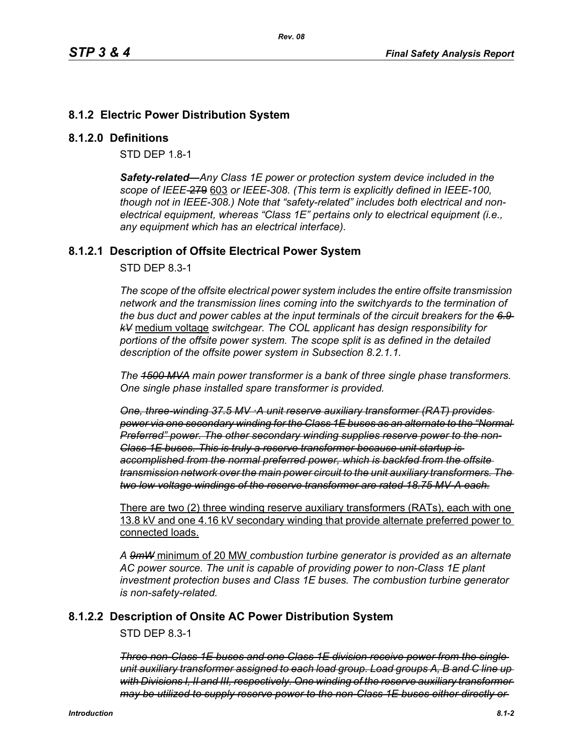# **8.1.2 Electric Power Distribution System**

#### **8.1.2.0 Definitions**

STD DEP 1.8-1

*Safety-related—Any Class 1E power or protection system device included in the scope of IEEE-*279 603 *or IEEE-308. (This term is explicitly defined in IEEE-100, though not in IEEE-308.) Note that "safety-related" includes both electrical and nonelectrical equipment, whereas "Class 1E" pertains only to electrical equipment (i.e., any equipment which has an electrical interface).*

### **8.1.2.1 Description of Offsite Electrical Power System**

STD DEP 8.3-1

*The scope of the offsite electrical power system includes the entire offsite transmission network and the transmission lines coming into the switchyards to the termination of the bus duct and power cables at the input terminals of the circuit breakers for the 6.9 kV* medium voltage *switchgear. The COL applicant has design responsibility for portions of the offsite power system. The scope split is as defined in the detailed description of the offsite power system in Subsection 8.2.1.1.*

*The 1500 MVA main power transformer is a bank of three single phase transformers. One single phase installed spare transformer is provided.*

*One, three-winding 37.5 MV ·A unit reserve auxiliary transformer (RAT) provides power via one secondary winding for the Class 1E buses as an alternate to the "Normal Preferred" power. The other secondary winding supplies reserve power to the non-Class 1E buses. This is truly a reserve transformer because unit startup is accomplished from the normal preferred power, which is backfed from the offsite transmission network over the main power circuit to the unit auxiliary transformers. The two low voltage windings of the reserve transformer are rated 18.75 MV-A each.*

There are two (2) three winding reserve auxiliary transformers (RATs), each with one 13.8 kV and one 4.16 kV secondary winding that provide alternate preferred power to connected loads.

*A 9mW* minimum of 20 MW *combustion turbine generator is provided as an alternate AC power source. The unit is capable of providing power to non-Class 1E plant investment protection buses and Class 1E buses. The combustion turbine generator is non-safety-related.*

# **8.1.2.2 Description of Onsite AC Power Distribution System**

STD DEP 8.3-1

*Three non-Class 1E buses and one Class 1E division receive power from the single unit auxiliary transformer assigned to each load group. Load groups A, B and C line up with Divisions I, II and III, respectively. One winding of the reserve auxiliary transformer may be utilized to supply reserve power to the non-Class 1E buses either directly or*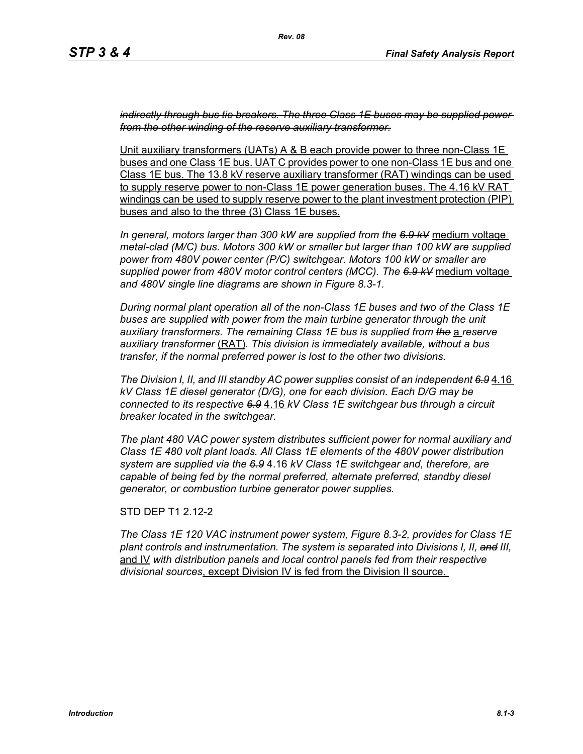*indirectly through bus tie breakers. The three Class 1E buses may be supplied power from the other winding of the reserve auxiliary transformer.*

Unit auxiliary transformers (UATs) A & B each provide power to three non-Class 1E buses and one Class 1E bus. UAT C provides power to one non-Class 1E bus and one Class 1E bus. The 13.8 kV reserve auxiliary transformer (RAT) windings can be used to supply reserve power to non-Class 1E power generation buses. The 4.16 kV RAT windings can be used to supply reserve power to the plant investment protection (PIP) buses and also to the three (3) Class 1E buses.

*In general, motors larger than 300 kW are supplied from the 6.9 kV* medium voltage *metal-clad (M/C) bus. Motors 300 kW or smaller but larger than 100 kW are supplied power from 480V power center (P/C) switchgear. Motors 100 kW or smaller are supplied power from 480V motor control centers (MCC). The 6.9 kV* medium voltage *and 480V single line diagrams are shown in Figure 8.3-1.*

*During normal plant operation all of the non-Class 1E buses and two of the Class 1E*  buses are supplied with power from the main turbine generator through the unit *auxiliary transformers. The remaining Class 1E bus is supplied from the* a *reserve auxiliary transformer* (RAT)*. This division is immediately available, without a bus transfer, if the normal preferred power is lost to the other two divisions.*

*The Division I, II, and III standby AC power supplies consist of an independent 6.9* 4.16 *kV Class 1E diesel generator (D/G), one for each division. Each D/G may be connected to its respective 6.9* 4.16 *kV Class 1E switchgear bus through a circuit breaker located in the switchgear.*

*The plant 480 VAC power system distributes sufficient power for normal auxiliary and Class 1E 480 volt plant loads. All Class 1E elements of the 480V power distribution system are supplied via the 6.9* 4.16 *kV Class 1E switchgear and, therefore, are capable of being fed by the normal preferred, alternate preferred, standby diesel generator, or combustion turbine generator power supplies.*

STD DEP T1 2.12-2

*The Class 1E 120 VAC instrument power system, Figure 8.3-2, provides for Class 1E plant controls and instrumentation. The system is separated into Divisions I, II, and III,* and IV *with distribution panels and local control panels fed from their respective divisional sources*, except Division IV is fed from the Division II source.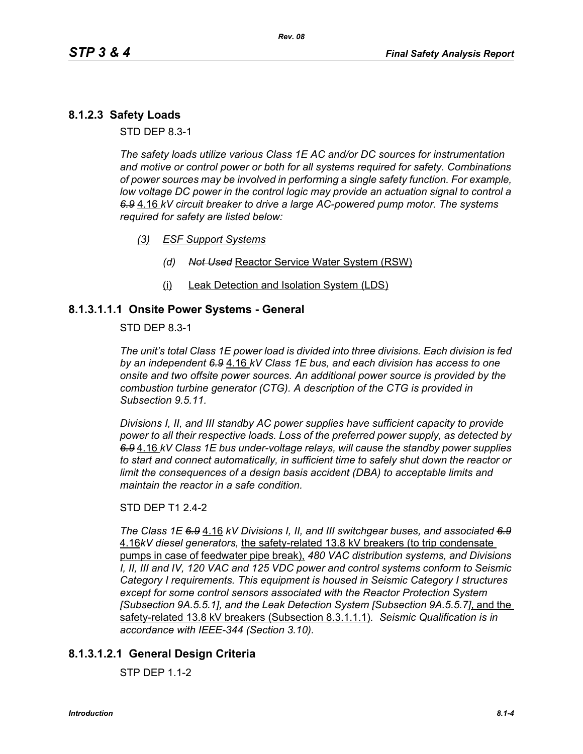# **8.1.2.3 Safety Loads**

STD DEP 8.3-1

*The safety loads utilize various Class 1E AC and/or DC sources for instrumentation and motive or control power or both for all systems required for safety. Combinations of power sources may be involved in performing a single safety function. For example, low voltage DC power in the control logic may provide an actuation signal to control a 6.9* 4.16 *kV circuit breaker to drive a large AC-powered pump motor. The systems required for safety are listed below:*

- *(3) ESF Support Systems*
	- *(d) Not Used* Reactor Service Water System (RSW)
	- (i) Leak Detection and Isolation System (LDS)

#### **8.1.3.1.1.1 Onsite Power Systems - General**

STD DEP 8.3-1

*The unit's total Class 1E power load is divided into three divisions. Each division is fed by an independent 6.9* 4.16 *kV Class 1E bus, and each division has access to one onsite and two offsite power sources. An additional power source is provided by the combustion turbine generator (CTG). A description of the CTG is provided in Subsection 9.5.11.*

*Divisions I, II, and III standby AC power supplies have sufficient capacity to provide power to all their respective loads. Loss of the preferred power supply, as detected by 6.9* 4.16 *kV Class 1E bus under-voltage relays, will cause the standby power supplies to start and connect automatically, in sufficient time to safely shut down the reactor or limit the consequences of a design basis accident (DBA) to acceptable limits and maintain the reactor in a safe condition.*

#### STD DEP T1 2.4-2

*The Class 1E 6.9* 4.16 *kV Divisions I, II, and III switchgear buses, and associated 6.9* 4.16*kV diesel generators,* the safety-related 13.8 kV breakers (to trip condensate pumps in case of feedwater pipe break), *480 VAC distribution systems, and Divisions I, II, III and IV, 120 VAC and 125 VDC power and control systems conform to Seismic Category I requirements. This equipment is housed in Seismic Category I structures except for some control sensors associated with the Reactor Protection System [Subsection 9A.5.5.1], and the Leak Detection System [Subsection 9A.5.5.7]*, and the safety-related 13.8 kV breakers (Subsection 8.3.1.1.1)*. Seismic Qualification is in accordance with IEEE-344 (Section 3.10).*

# **8.1.3.1.2.1 General Design Criteria**

STP DEP 1.1-2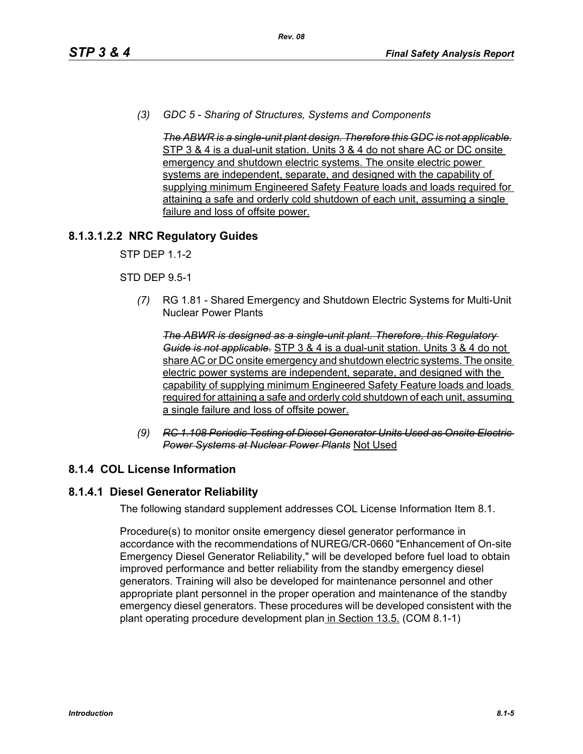*(3) GDC 5 - Sharing of Structures, Systems and Components* 

*The ABWR is a single-unit plant design. Therefore this GDC is not applicable.* STP 3 & 4 is a dual-unit station. Units 3 & 4 do not share AC or DC onsite emergency and shutdown electric systems. The onsite electric power systems are independent, separate, and designed with the capability of supplying minimum Engineered Safety Feature loads and loads required for attaining a safe and orderly cold shutdown of each unit, assuming a single failure and loss of offsite power.

# **8.1.3.1.2.2 NRC Regulatory Guides**

STP DEP 1.1-2

#### STD DEP 9.5-1

*(7)* RG 1.81 - Shared Emergency and Shutdown Electric Systems for Multi-Unit Nuclear Power Plants

*The ABWR is designed as a single-unit plant. Therefore, this Regulatory Guide is not applicable.* STP 3 & 4 is a dual-unit station. Units 3 & 4 do not share AC or DC onsite emergency and shutdown electric systems. The onsite electric power systems are independent, separate, and designed with the capability of supplying minimum Engineered Safety Feature loads and loads required for attaining a safe and orderly cold shutdown of each unit, assuming a single failure and loss of offsite power.

*(9) RC 1.108 Periodic Testing of Diesel Generator Units Used as Onsite Electric Power Systems at Nuclear Power Plants* Not Used

# **8.1.4 COL License Information**

# **8.1.4.1 Diesel Generator Reliability**

The following standard supplement addresses COL License Information Item 8.1.

Procedure(s) to monitor onsite emergency diesel generator performance in accordance with the recommendations of NUREG/CR-0660 "Enhancement of On-site Emergency Diesel Generator Reliability," will be developed before fuel load to obtain improved performance and better reliability from the standby emergency diesel generators. Training will also be developed for maintenance personnel and other appropriate plant personnel in the proper operation and maintenance of the standby emergency diesel generators. These procedures will be developed consistent with the plant operating procedure development plan in Section 13.5. (COM 8.1-1)